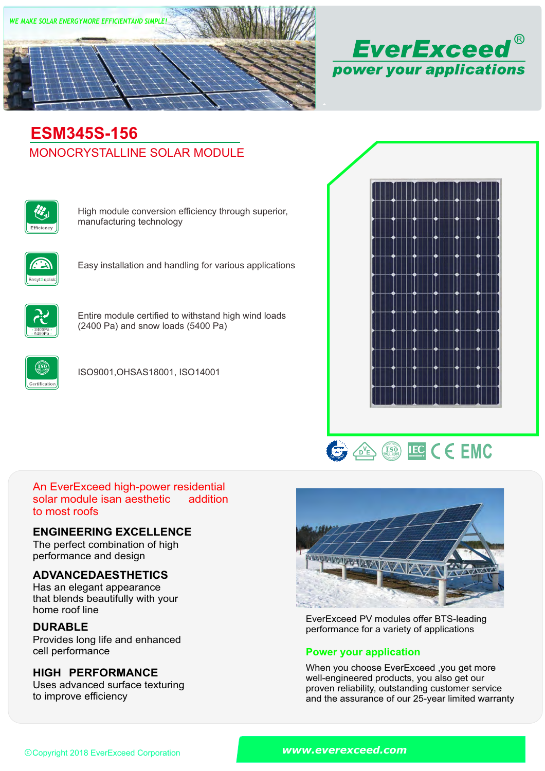



# MONOCRYSTALLINE SOLAR MODULE **ESM345S-156**



High module conversion efficiency through superior, manufacturing technology



Easy installation and handling for various applications



Entire module certified to withstand high wind loads (2400 Pa) and snow loads (5400 Pa)



ISO9001,OHSAS18001, ISO14001





#### An EverExceed high-power residential solar module isan aesthetic to most roofs addition

### **ENGINEERING EXCELLENCE**

The perfect combination of high performance and design

## **ADVANCEDAESTHETICS**

Has an elegant appearance that blends beautifully with your home roof line

## **DURABLE**

Provides long life and enhanced<br>cell performance

### **HIGH PERFORMANCE**

Uses advanced surface texturing to improve efficiency



EverExceed PV modules offer BTS-leading performance for a variety of applications

### **Power your application**

When you choose EverExceed ,you get more well-engineered products, you also get our proven reliability, outstanding customer service and the assurance of our 25-year limited warranty